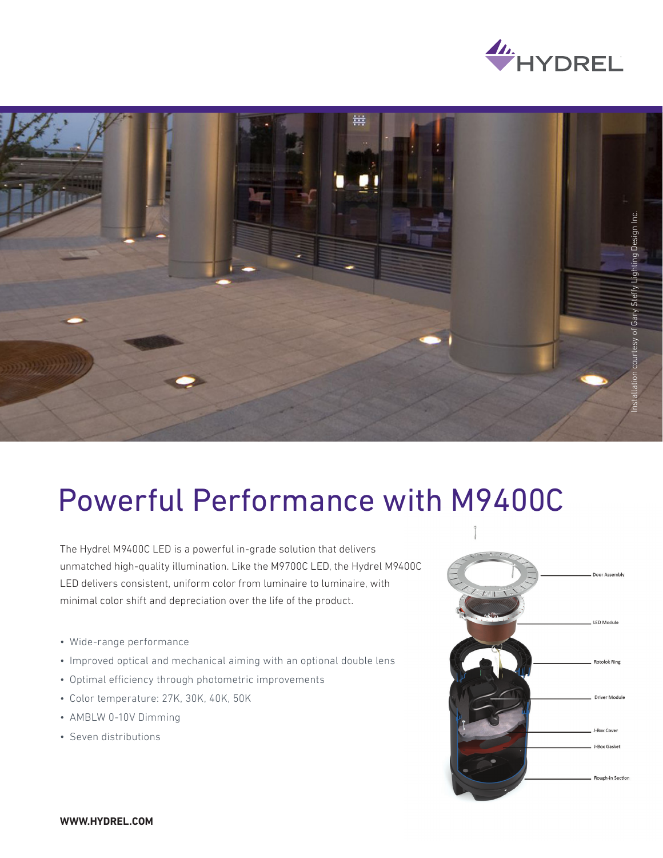



## Powerful Performance with M9400C

The Hydrel M9400C LED is a powerful in-grade solution that delivers unmatched high-quality illumination. Like the M9700C LED, the Hydrel M9400C LED delivers consistent, uniform color from luminaire to luminaire, with minimal color shift and depreciation over the life of the product.

- Wide-range performance
- Improved optical and mechanical aiming with an optional double lens
- Optimal efficiency through photometric improvements
- Color temperature: 27K, 30K, 40K, 50K
- AMBLW 0-10V Dimming
- Seven distributions